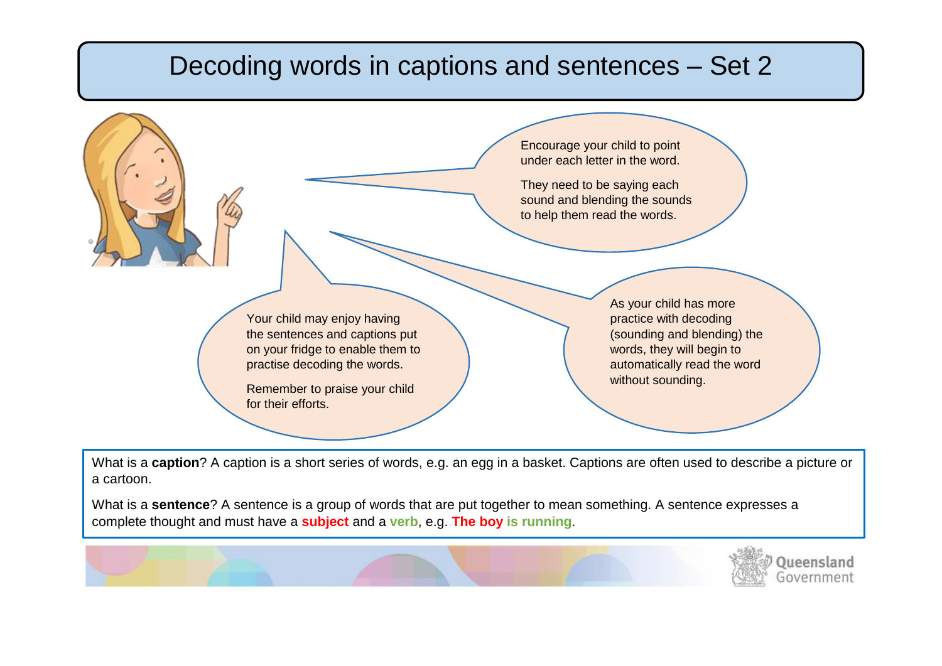## Decoding words in captions and sentences – Set 2

 $\overline{\phantom{a}}$ 

 $\overline{a}$ 

|                                                                                                                                                                                          | under each letter in the word.<br>They need to be saying each<br>to help them read the words. | Encourage your child to point<br>sound and blending the sounds                                                                                                   |
|------------------------------------------------------------------------------------------------------------------------------------------------------------------------------------------|-----------------------------------------------------------------------------------------------|------------------------------------------------------------------------------------------------------------------------------------------------------------------|
| Your child may enjoy having<br>the sentences and captions put<br>on your fridge to enable them to<br>practise decoding the words.<br>Remember to praise your child<br>for their efforts. |                                                                                               | As your child has more<br>practice with decoding<br>(sounding and blending) the<br>words, they will begin to<br>automatically read the word<br>without sounding. |

What is a **caption**? A caption is a short series of words, e.g. an egg in a basket. Captions are often used to describe a picture or a cartoon.

What is a **sentence**? A sentence is a group of words that are put together to mean something. A sentence expresses a complete thought and must have a **subject** and a **verb**, e.g. **The boy is running**.

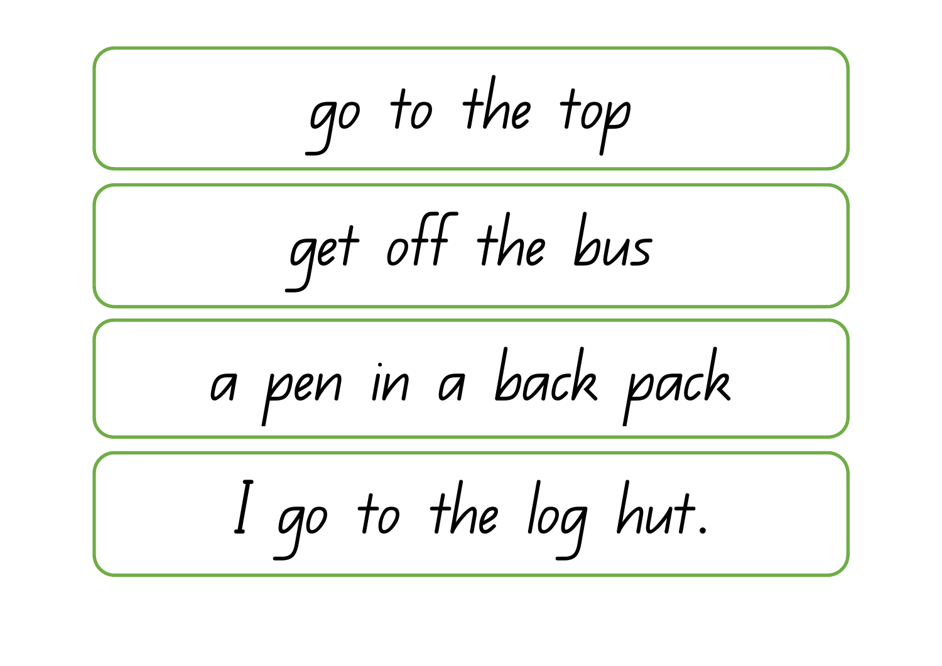$$
\underbrace{\underbrace{\underbrace{\text{got to the top}}_{\text{get off the bus}}}_{\text{I go to the log hut.}}\n \begin{array}{|c|c|}\n \hline\n \end{array}
$$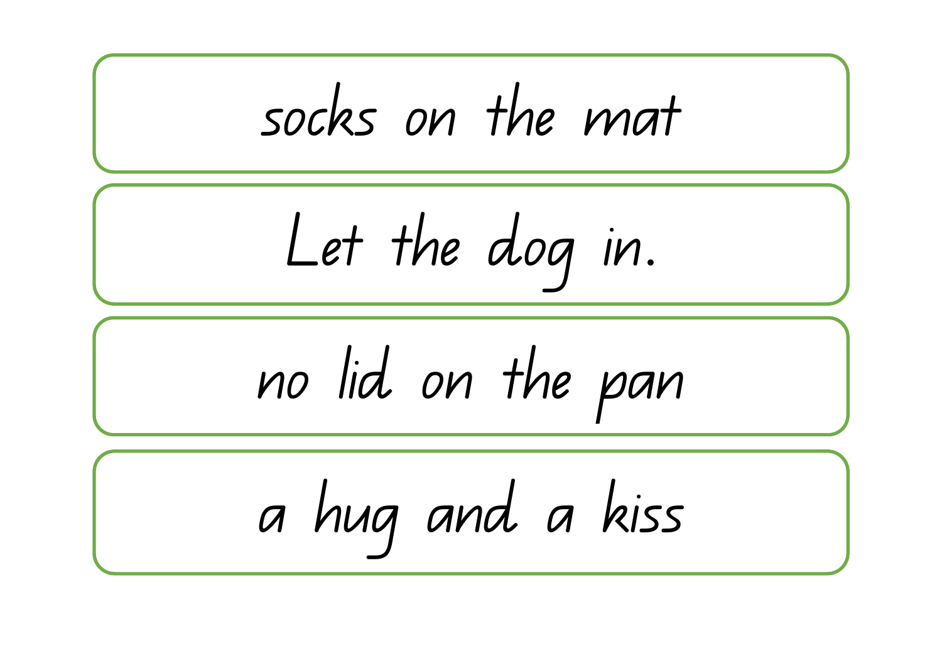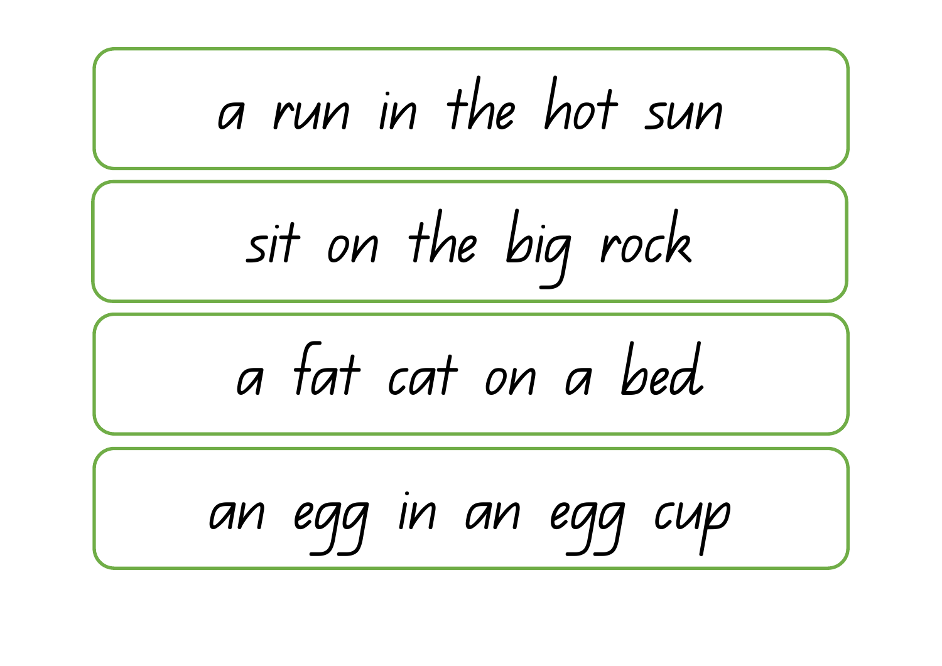a run in the hot sun a fat cat on a bed sit on the big rock an egg in an egg cup